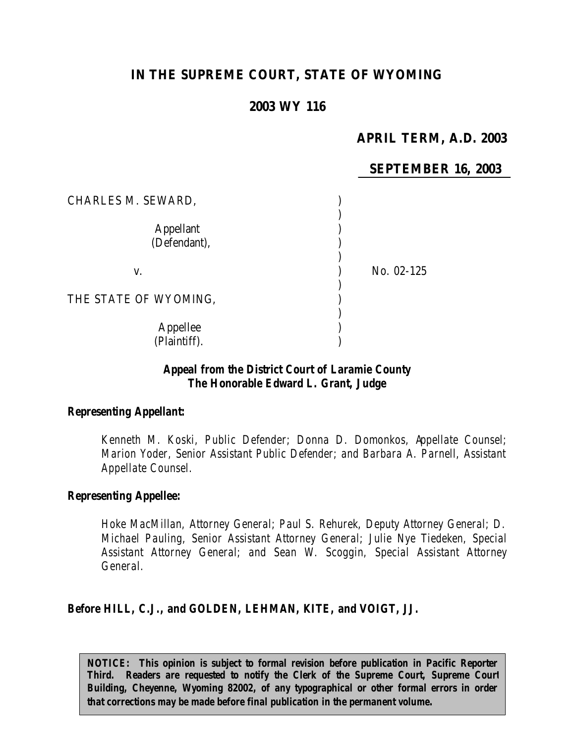# **IN THE SUPREME COURT, STATE OF WYOMING**

# **2003 WY 116**

# **APRIL TERM, A.D. 2003**

### **SEPTEMBER 16, 2003**

| CHARLES M. SEWARD,               |            |
|----------------------------------|------------|
| <b>Appellant</b><br>(Defendant), |            |
| V.                               | No. 02-125 |
| THE STATE OF WYOMING,            |            |
| Appellee<br>(Plaintiff).         |            |

### *Appeal from the District Court of Laramie County The Honorable Edward L. Grant, Judge*

#### *Representing Appellant:*

*Kenneth M. Koski, Public Defender; Donna D. Domonkos, Appellate Counsel; Marion Yoder, Senior Assistant Public Defender; and Barbara A. Parnell, Assistant Appellate Counsel.*

#### *Representing Appellee:*

*Hoke MacMillan, Attorney General; Paul S. Rehurek, Deputy Attorney General; D. Michael Pauling, Senior Assistant Attorney General; Julie Nye Tiedeken, Special Assistant Attorney General; and Sean W. Scoggin, Special Assistant Attorney General.*

### *Before HILL, C.J., and GOLDEN, LEHMAN, KITE, and VOIGT, JJ.*

*NOTICE: This opinion is subject to formal revision before publication in Pacific Reporter Third. Readers are requested to notify the Clerk of the Supreme Court, Supreme Court Building, Cheyenne, Wyoming 82002, of any typographical or other formal errors in order that corrections may be made before final publication in the permanent volume.*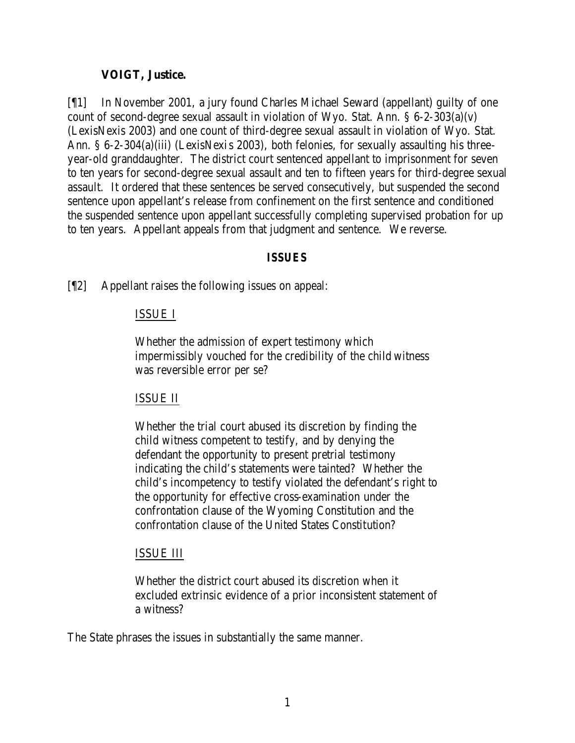### **VOIGT, Justice.**

[¶1] In November 2001, a jury found Charles Michael Seward (appellant) guilty of one count of second-degree sexual assault in violation of Wyo. Stat. Ann. § 6-2-303(a)(v) (LexisNexis 2003) and one count of third-degree sexual assault in violation of Wyo. Stat. Ann. § 6-2-304(a)(iii) (LexisNexis 2003), both felonies, for sexually assaulting his threeyear-old granddaughter. The district court sentenced appellant to imprisonment for seven to ten years for second-degree sexual assault and ten to fifteen years for third-degree sexual assault. It ordered that these sentences be served consecutively, but suspended the second sentence upon appellant's release from confinement on the first sentence and conditioned the suspended sentence upon appellant successfully completing supervised probation for up to ten years. Appellant appeals from that judgment and sentence. We reverse.

### *ISSUES*

[¶2] Appellant raises the following issues on appeal:

### ISSUE I

Whether the admission of expert testimony which impermissibly vouched for the credibility of the child witness was reversible error per se?

### ISSUE II

Whether the trial court abused its discretion by finding the child witness competent to testify, and by denying the defendant the opportunity to present pretrial testimony indicating the child's statements were tainted? Whether the child's incompetency to testify violated the defendant's right to the opportunity for effective cross-examination under the confrontation clause of the Wyoming Constitution and the confrontation clause of the United States Constitution?

### ISSUE III

Whether the district court abused its discretion when it excluded extrinsic evidence of a prior inconsistent statement of a witness?

The State phrases the issues in substantially the same manner.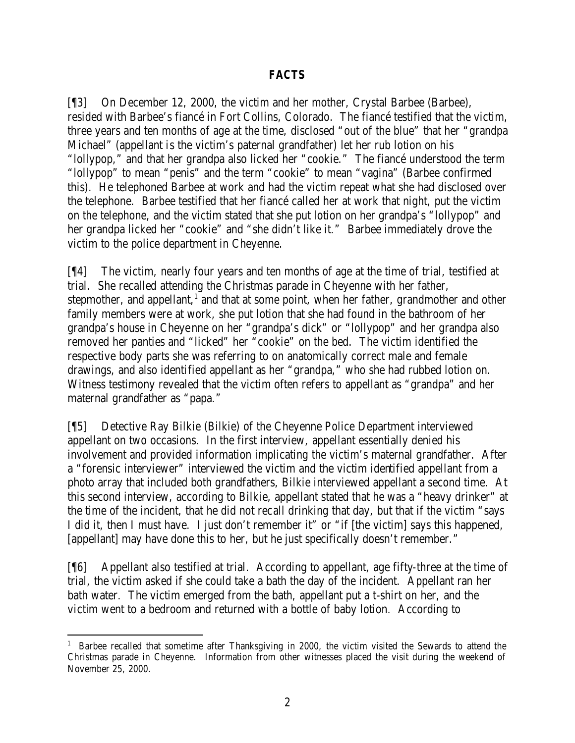### *FACTS*

[¶3] On December 12, 2000, the victim and her mother, Crystal Barbee (Barbee), resided with Barbee's fiancé in Fort Collins, Colorado. The fiancé testified that the victim, three years and ten months of age at the time, disclosed "out of the blue" that her "grandpa Michael" (appellant is the victim's paternal grandfather) let her rub lotion on his "lollypop," and that her grandpa also licked her "cookie." The fiancé understood the term "lollypop" to mean "penis" and the term "cookie" to mean "vagina" (Barbee confirmed this). He telephoned Barbee at work and had the victim repeat what she had disclosed over the telephone. Barbee testified that her fiancé called her at work that night, put the victim on the telephone, and the victim stated that she put lotion on her grandpa's "lollypop" and her grandpa licked her "cookie" and "she didn't like it." Barbee immediately drove the victim to the police department in Cheyenne.

[¶4] The victim, nearly four years and ten months of age at the time of trial, testified at trial. She recalled attending the Christmas parade in Cheyenne with her father, stepmother, and appellant, $<sup>1</sup>$  and that at some point, when her father, grandmother and other</sup> family members were at work, she put lotion that she had found in the bathroom of her grandpa's house in Cheyenne on her "grandpa's dick" or "lollypop" and her grandpa also removed her panties and "licked" her "cookie" on the bed. The victim identified the respective body parts she was referring to on anatomically correct male and female drawings, and also identified appellant as her "grandpa," who she had rubbed lotion on. Witness testimony revealed that the victim often refers to appellant as "grandpa" and her maternal grandfather as "papa."

[¶5] Detective Ray Bilkie (Bilkie) of the Cheyenne Police Department interviewed appellant on two occasions. In the first interview, appellant essentially denied his involvement and provided information implicating the victim's maternal grandfather. After a "forensic interviewer" interviewed the victim and the victim identified appellant from a photo array that included both grandfathers, Bilkie interviewed appellant a second time. At this second interview, according to Bilkie, appellant stated that he was a "heavy drinker" at the time of the incident, that he did not recall drinking that day, but that if the victim "says I did it, then I must have. I just don't remember it" or "if [the victim] says this happened, [appellant] may have done this to her, but he just specifically doesn't remember."

[¶6] Appellant also testified at trial. According to appellant, age fifty-three at the time of trial, the victim asked if she could take a bath the day of the incident. Appellant ran her bath water. The victim emerged from the bath, appellant put a t-shirt on her, and the victim went to a bedroom and returned with a bottle of baby lotion. According to

 <sup>1</sup> Barbee recalled that sometime after Thanksgiving in 2000, the victim visited the Sewards to attend the Christmas parade in Cheyenne. Information from other witnesses placed the visit during the weekend of November 25, 2000.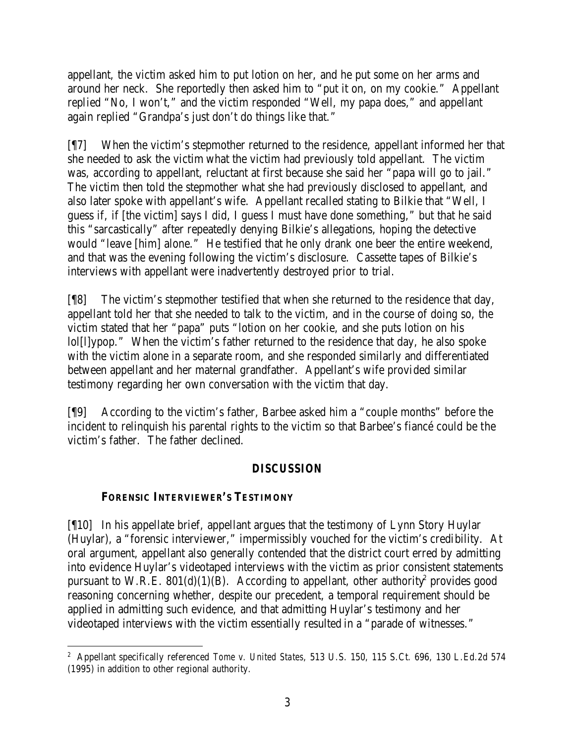appellant, the victim asked him to put lotion on her, and he put some on her arms and around her neck. She reportedly then asked him to "put it on, on my cookie." Appellant replied "No, I won't," and the victim responded "Well, my papa does," and appellant again replied "Grandpa's just don't do things like that."

[¶7] When the victim's stepmother returned to the residence, appellant informed her that she needed to ask the victim what the victim had previously told appellant. The victim was, according to appellant, reluctant at first because she said her "papa will go to jail." The victim then told the stepmother what she had previously disclosed to appellant, and also later spoke with appellant's wife. Appellant recalled stating to Bilkie that "Well, I guess if, if [the victim] says I did, I guess I must have done something," but that he said this "sarcastically" after repeatedly denying Bilkie's allegations, hoping the detective would "leave [him] alone." He testified that he only drank one beer the entire weekend, and that was the evening following the victim's disclosure. Cassette tapes of Bilkie's interviews with appellant were inadvertently destroyed prior to trial.

[¶8] The victim's stepmother testified that when she returned to the residence that day, appellant told her that she needed to talk to the victim, and in the course of doing so, the victim stated that her "papa" puts "lotion on her cookie, and she puts lotion on his lol[l]ypop." When the victim's father returned to the residence that day, he also spoke with the victim alone in a separate room, and she responded similarly and differentiated between appellant and her maternal grandfather. Appellant's wife provided similar testimony regarding her own conversation with the victim that day.

[¶9] According to the victim's father, Barbee asked him a "couple months" before the incident to relinquish his parental rights to the victim so that Barbee's fiancé could be the victim's father. The father declined.

# *DISCUSSION*

## **FORENSIC INTERVIEWER'S TESTIMONY**

[¶10] In his appellate brief, appellant argues that the testimony of Lynn Story Huylar (Huylar), a "forensic interviewer," impermissibly vouched for the victim's credibility. At oral argument, appellant also generally contended that the district court erred by admitting into evidence Huylar's videotaped interviews with the victim as prior consistent statements pursuant to W.R.E.  $801(d)(1)(B)$ . According to appellant, other authority<sup>2</sup> provides good reasoning concerning whether, despite our precedent, a temporal requirement should be applied in admitting such evidence, and that admitting Huylar's testimony and her videotaped interviews with the victim essentially resulted in a "parade of witnesses."

 2 Appellant specifically referenced *Tome v. United States*, 513 U.S. 150, 115 S.Ct. 696, 130 L.Ed.2d 574 (1995) in addition to other regional authority.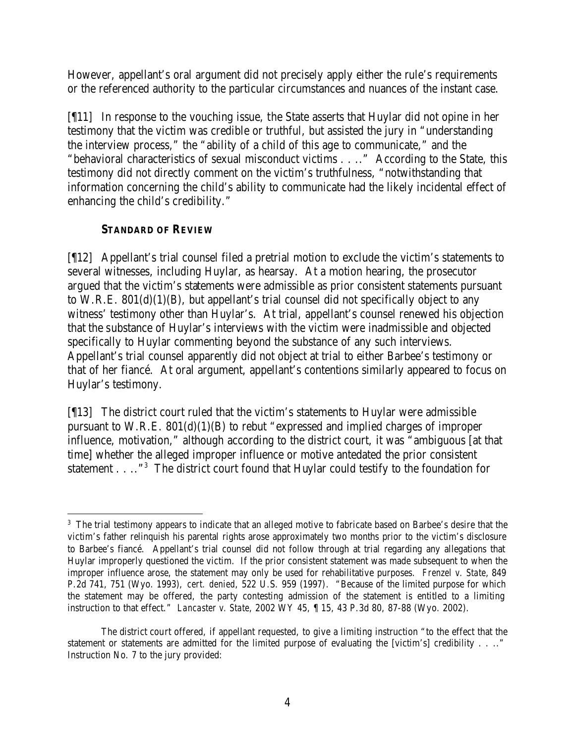However, appellant's oral argument did not precisely apply either the rule's requirements or the referenced authority to the particular circumstances and nuances of the instant case.

[¶11] In response to the vouching issue, the State asserts that Huylar did not opine in her testimony that the victim was credible or truthful, but assisted the jury in "understanding the interview process," the "ability of a child of this age to communicate," and the "behavioral characteristics of sexual misconduct victims . . .." According to the State, this testimony did not directly comment on the victim's truthfulness, "notwithstanding that information concerning the child's ability to communicate had the likely incidental effect of enhancing the child's credibility."

# **STANDARD OF REVIEW**

[¶12] Appellant's trial counsel filed a pretrial motion to exclude the victim's statements to several witnesses, including Huylar, as hearsay. At a motion hearing, the prosecutor argued that the victim's statements were admissible as prior consistent statements pursuant to W.R.E. 801(d)(1)(B), but appellant's trial counsel did not specifically object to any witness' testimony other than Huylar's. At trial, appellant's counsel renewed his objection that the substance of Huylar's interviews with the victim were inadmissible and objected specifically to Huylar commenting beyond the substance of any such interviews. Appellant's trial counsel apparently did not object at trial to either Barbee's testimony or that of her fiancé. At oral argument, appellant's contentions similarly appeared to focus on Huylar's testimony.

[¶13] The district court ruled that the victim's statements to Huylar were admissible pursuant to W.R.E. 801(d)(1)(B) to rebut "expressed and implied charges of improper influence, motivation," although according to the district court, it was "ambiguous [at that time] whether the alleged improper influence or motive antedated the prior consistent statement  $\ldots$ ."<sup>3</sup> The district court found that Huylar could testify to the foundation for

 <sup>3</sup> The trial testimony appears to indicate that an alleged motive to fabricate based on Barbee's desire that the victim's father relinquish his parental rights arose approximately two months prior to the victim's disclosure to Barbee's fiancé. Appellant's trial counsel did not follow through at trial regarding any allegations that Huylar improperly questioned the victim. If the prior consistent statement was made subsequent to when the improper influence arose, the statement may only be used for rehabilitative purposes. *Frenzel v. State*, 849 P.2d 741, 751 (Wyo. 1993), *cert. denied*, 522 U.S. 959 (1997). "Because of the limited purpose for which the statement may be offered, the party contesting admission of the statement is entitled to a limiting instruction to that effect." *Lancaster v. State*, 2002 WY 45, ¶ 15, 43 P.3d 80, 87-88 (Wyo. 2002).

The district court offered, if appellant requested, to give a limiting instruction "to the effect that the statement or statements are admitted for the limited purpose of evaluating the [victim's] credibility . . .." Instruction No. 7 to the jury provided: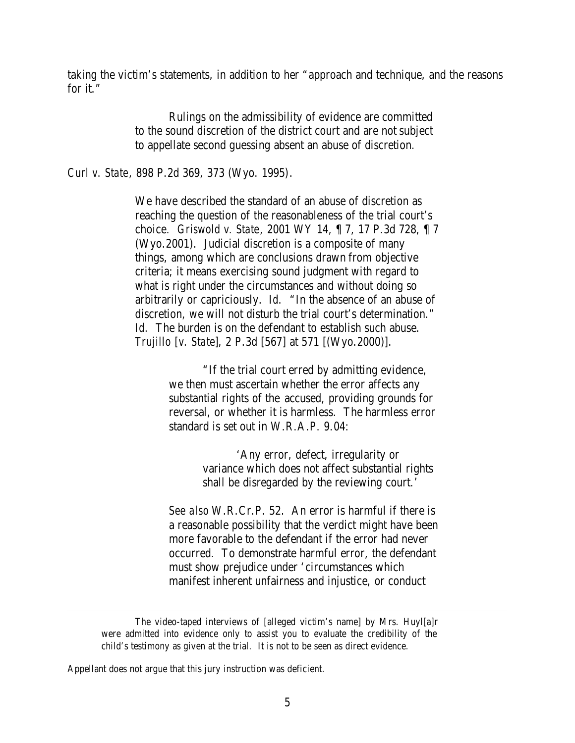taking the victim's statements, in addition to her "approach and technique, and the reasons for it."

> Rulings on the admissibility of evidence are committed to the sound discretion of the district court and are not subject to appellate second guessing absent an abuse of discretion.

*Curl v. State*, 898 P.2d 369, 373 (Wyo. 1995).

We have described the standard of an abuse of discretion as reaching the question of the reasonableness of the trial court's choice. *Griswold v. State*, 2001 WY 14, ¶ 7, 17 P.3d 728, ¶ 7 (Wyo.2001). Judicial discretion is a composite of many things, among which are conclusions drawn from objective criteria; it means exercising sound judgment with regard to what is right under the circumstances and without doing so arbitrarily or capriciously. *Id.* "In the absence of an abuse of discretion, we will not disturb the trial court's determination." *Id.* The burden is on the defendant to establish such abuse. *Trujillo [v. State]*, 2 P.3d [567] at 571 [(Wyo.2000)].

> "If the trial court erred by admitting evidence, we then must ascertain whether the error affects any substantial rights of the accused, providing grounds for reversal, or whether it is harmless. The harmless error standard is set out in W.R.A.P. 9.04:

> > 'Any error, defect, irregularity or variance which does not affect substantial rights shall be disregarded by the reviewing court.'

*See also* W.R.Cr.P. 52. An error is harmful if there is a reasonable possibility that the verdict might have been more favorable to the defendant if the error had never occurred. To demonstrate harmful error, the defendant must show prejudice under 'circumstances which manifest inherent unfairness and injustice, or conduct

The video-taped interviews of [alleged victim's name] by Mrs. Huyl[a]r were admitted into evidence only to assist you to evaluate the credibility of the child's testimony as given at the trial. It is not to be seen as direct evidence.

Appellant does not argue that this jury instruction was deficient.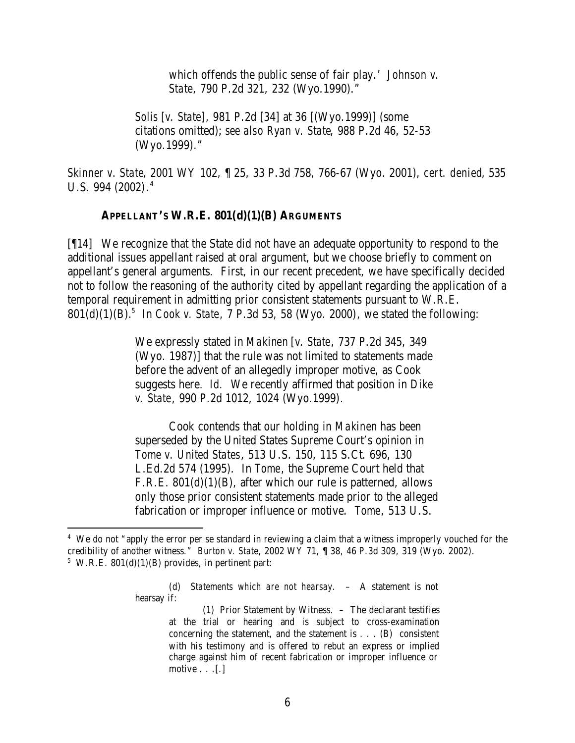which offends the public sense of fair play.' *Johnson v. State*, 790 P.2d 321, 232 (Wyo.1990)."

*Solis [v. State]*, 981 P.2d [34] at 36 [(Wyo.1999)] (some citations omitted); *see also Ryan v. State*, 988 P.2d 46, 52-53 (Wyo.1999)."

*Skinner v. State*, 2001 WY 102, ¶ 25, 33 P.3d 758, 766-67 (Wyo. 2001), *cert. denied*, 535 U.S. 994 (2002). 4

#### **APPELLANT'S W.R.E. 801(d)(1)(B) ARGUMENTS**

[¶14] We recognize that the State did not have an adequate opportunity to respond to the additional issues appellant raised at oral argument, but we choose briefly to comment on appellant's general arguments. First, in our recent precedent, we have specifically decided not to follow the reasoning of the authority cited by appellant regarding the application of a temporal requirement in admitting prior consistent statements pursuant to W.R.E. 801(d)(1)(B).<sup>5</sup> In *Cook v. State*, 7 P.3d 53, 58 (Wyo. 2000), we stated the following:

> We expressly stated in *Makinen* [*v. State*, 737 P.2d 345, 349 (Wyo. 1987)] that the rule was not limited to statements made before the advent of an allegedly improper motive, as Cook suggests here. *Id.* We recently affirmed that position in *Dike v. State*, 990 P.2d 1012, 1024 (Wyo.1999).

Cook contends that our holding in *Makinen* has been superseded by the United States Supreme Court's opinion in *Tome v. United States*, 513 U.S. 150, 115 S.Ct. 696, 130 L.Ed.2d 574 (1995). In *Tome*, the Supreme Court held that F.R.E. 801(d)(1)(B), after which our rule is patterned, allows only those prior consistent statements made prior to the alleged fabrication or improper influence or motive. *Tome*, 513 U.S.

(d) *Statements which are not hearsay*. – A statement is not hearsay if:

<sup>&</sup>lt;sup>4</sup> We do not "apply the error per se standard in reviewing a claim that a witness improperly vouched for the credibility of another witness." *Burton v. State*, 2002 WY 71, ¶ 38, 46 P.3d 309, 319 (Wyo. 2002).  $5$  W.R.E. 801(d)(1)(B) provides, in pertinent part:

<sup>(1)</sup> Prior Statement by Witness. – The declarant testifies at the trial or hearing and is subject to cross-examination concerning the statement, and the statement is . . . (B) consistent with his testimony and is offered to rebut an express or implied charge against him of recent fabrication or improper influence or motive  $\ldots$  [.]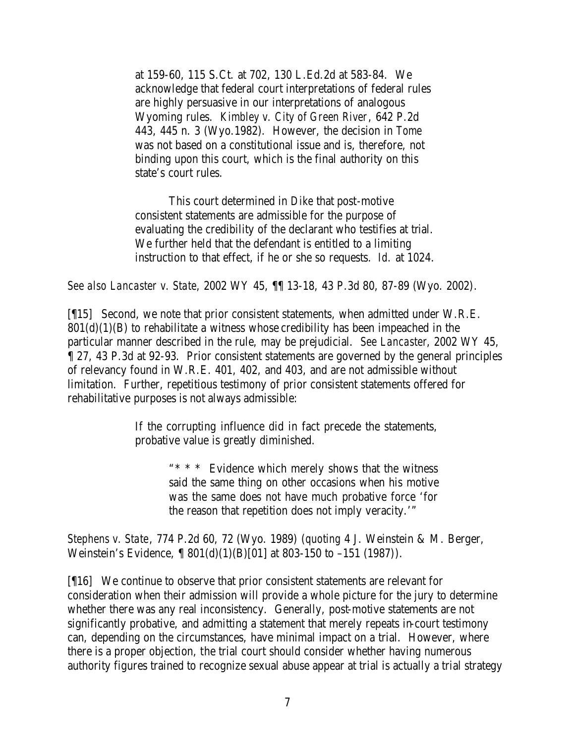at 159-60, 115 S.Ct. at 702, 130 L.Ed.2d at 583-84. We acknowledge that federal court interpretations of federal rules are highly persuasive in our interpretations of analogous Wyoming rules. *Kimbley v. City of Green River*, 642 P.2d 443, 445 n. 3 (Wyo.1982). However, the decision in *Tome* was not based on a constitutional issue and is, therefore, not binding upon this court, which is the final authority on this state's court rules.

This court determined in *Dike* that post-motive consistent statements are admissible for the purpose of evaluating the credibility of the declarant who testifies at trial. We further held that the defendant is entitled to a limiting instruction to that effect, if he or she so requests. *Id.* at 1024.

*See also Lancaster v. State*, 2002 WY 45, ¶¶ 13-18, 43 P.3d 80, 87-89 (Wyo. 2002).

[¶15] Second, we note that prior consistent statements, when admitted under W.R.E.  $801(d)(1)(B)$  to rehabilitate a witness whose credibility has been impeached in the particular manner described in the rule, may be prejudicial. *See Lancaster*, 2002 WY 45, ¶ 27, 43 P.3d at 92-93. Prior consistent statements are governed by the general principles of relevancy found in W.R.E. 401, 402, and 403, and are not admissible without limitation. Further, repetitious testimony of prior consistent statements offered for rehabilitative purposes is not always admissible:

> If the corrupting influence did in fact precede the statements, probative value is greatly diminished.

> > "\* \* \* Evidence which merely shows that the witness said the same thing on other occasions when his motive was the same does not have much probative force 'for the reason that repetition does not imply veracity.'"

*Stephens v. State*, 774 P.2d 60, 72 (Wyo. 1989) (*quoting* 4 J. Weinstein & M. Berger, Weinstein's Evidence,  $\int \frac{801(d)(1)(B)[01]}{dt}$  at 803-150 to -151 (1987)).

[¶16] We continue to observe that prior consistent statements are relevant for consideration when their admission will provide a whole picture for the jury to determine whether there was any real inconsistency. Generally, post-motive statements are not significantly probative, and admitting a statement that merely repeats in-court testimony can, depending on the circumstances, have minimal impact on a trial. However, where there is a proper objection, the trial court should consider whether having numerous authority figures trained to recognize sexual abuse appear at trial is actually a trial strategy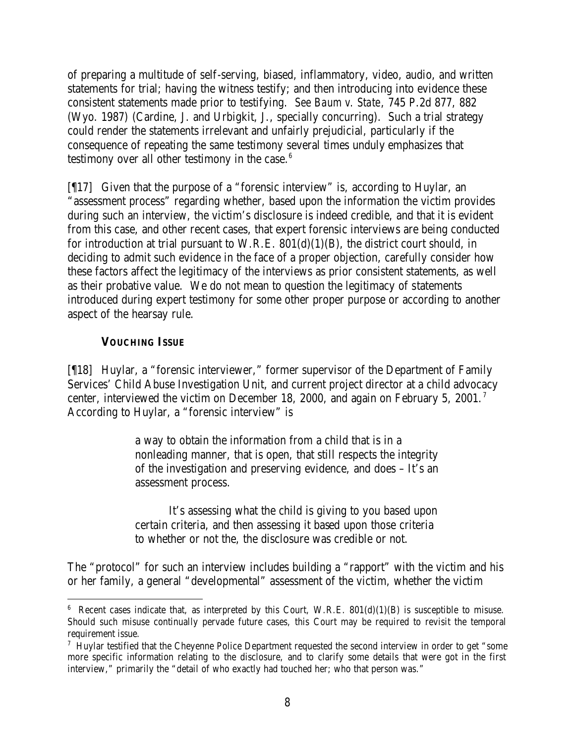of preparing a multitude of self-serving, biased, inflammatory, video, audio, and written statements for trial; having the witness testify; and then introducing into evidence these consistent statements made prior to testifying. *See Baum v. State*, 745 P.2d 877, 882 (Wyo. 1987) (Cardine, J. and Urbigkit, J., specially concurring). Such a trial strategy could render the statements irrelevant and unfairly prejudicial, particularly if the consequence of repeating the same testimony several times unduly emphasizes that testimony over all other testimony in the case. $6$ 

[¶17] Given that the purpose of a "forensic interview" is, according to Huylar, an "assessment process" regarding whether, based upon the information the victim provides during such an interview, the victim's disclosure is indeed credible, and that it is evident from this case, and other recent cases, that expert forensic interviews are being conducted for introduction at trial pursuant to W.R.E.  $801(d)(1)(B)$ , the district court should, in deciding to admit such evidence in the face of a proper objection, carefully consider how these factors affect the legitimacy of the interviews as prior consistent statements, as well as their probative value. We do not mean to question the legitimacy of statements introduced during expert testimony for some other proper purpose or according to another aspect of the hearsay rule.

## **VOUCHING ISSUE**

[¶18] Huylar, a "forensic interviewer," former supervisor of the Department of Family Services' Child Abuse Investigation Unit, and current project director at a child advocacy center, interviewed the victim on December 18, 2000, and again on February 5, 2001.<sup>7</sup> According to Huylar, a "forensic interview" is

> a way to obtain the information from a child that is in a nonleading manner, that is open, that still respects the integrity of the investigation and preserving evidence, and does – It's an assessment process.

> It's assessing what the child is giving to you based upon certain criteria, and then assessing it based upon those criteria to whether or not the, the disclosure was credible or not.

The "protocol" for such an interview includes building a "rapport" with the victim and his or her family, a general "developmental" assessment of the victim, whether the victim

<sup>&</sup>lt;sup>6</sup> Recent cases indicate that, as interpreted by this Court, W.R.E.  $801(d)(1)(B)$  is susceptible to misuse. Should such misuse continually pervade future cases, this Court may be required to revisit the temporal requirement issue.

<sup>&</sup>lt;sup>7</sup> Huylar testified that the Cheyenne Police Department requested the second interview in order to get "some more specific information relating to the disclosure, and to clarify some details that were got in the first interview," primarily the "detail of who exactly had touched her; who that person was."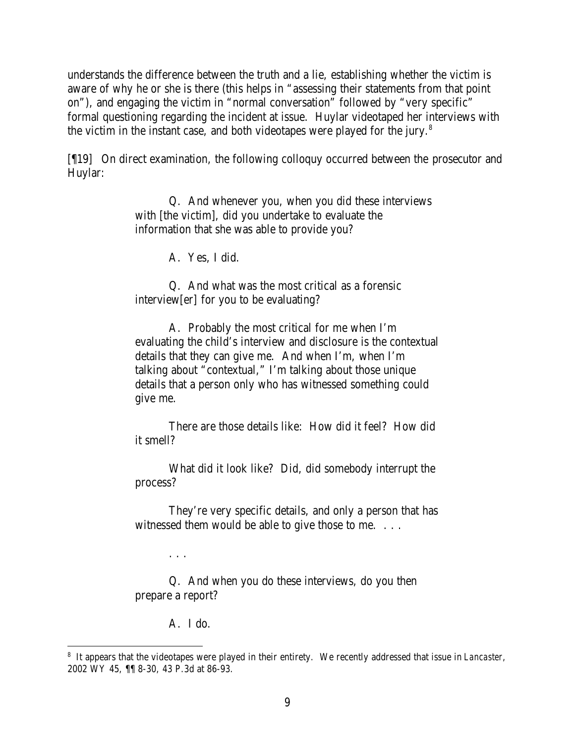understands the difference between the truth and a lie, establishing whether the victim is aware of why he or she is there (this helps in "assessing their statements from that point on"), and engaging the victim in "normal conversation" followed by "very specific" formal questioning regarding the incident at issue. Huylar videotaped her interviews with the victim in the instant case, and both videotapes were played for the jury.<sup>8</sup>

[¶19] On direct examination, the following colloquy occurred between the prosecutor and Huylar:

> Q. And whenever you, when you did these interviews with [the victim], did you undertake to evaluate the information that she was able to provide you?

> > A. Yes, I did.

Q. And what was the most critical as a forensic interview[er] for you to be evaluating?

A. Probably the most critical for me when I'm evaluating the child's interview and disclosure is the contextual details that they can give me. And when I'm, when I'm talking about "contextual," I'm talking about those unique details that a person only who has witnessed something could give me.

There are those details like: How did it feel? How did it smell?

What did it look like? Did, did somebody interrupt the process?

They're very specific details, and only a person that has witnessed them would be able to give those to me. . . .

Q. And when you do these interviews, do you then prepare a report?

A. I do.

. . .

<sup>8</sup> It appears that the videotapes were played in their entirety. We recently addressed that issue in *Lancaster*, 2002 WY 45, ¶¶ 8-30, 43 P.3d at 86-93.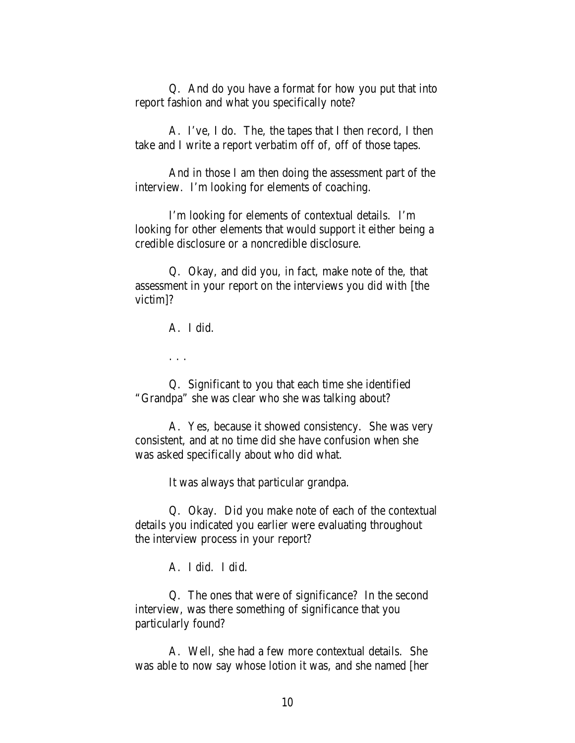Q. And do you have a format for how you put that into report fashion and what you specifically note?

A. I've, I do. The, the tapes that I then record, I then take and I write a report verbatim off of, off of those tapes.

And in those I am then doing the assessment part of the interview. I'm looking for elements of coaching.

I'm looking for elements of contextual details. I'm looking for other elements that would support it either being a credible disclosure or a noncredible disclosure.

Q. Okay, and did you, in fact, make note of the, that assessment in your report on the interviews you did with [the victim]?

A. I did.

. . .

Q. Significant to you that each time she identified "Grandpa" she was clear who she was talking about?

A. Yes, because it showed consistency. She was very consistent, and at no time did she have confusion when she was asked specifically about who did what.

It was always that particular grandpa.

Q. Okay. Did you make note of each of the contextual details you indicated you earlier were evaluating throughout the interview process in your report?

A. I did. I did.

Q. The ones that were of significance? In the second interview, was there something of significance that you particularly found?

A. Well, she had a few more contextual details. She was able to now say whose lotion it was, and she named [her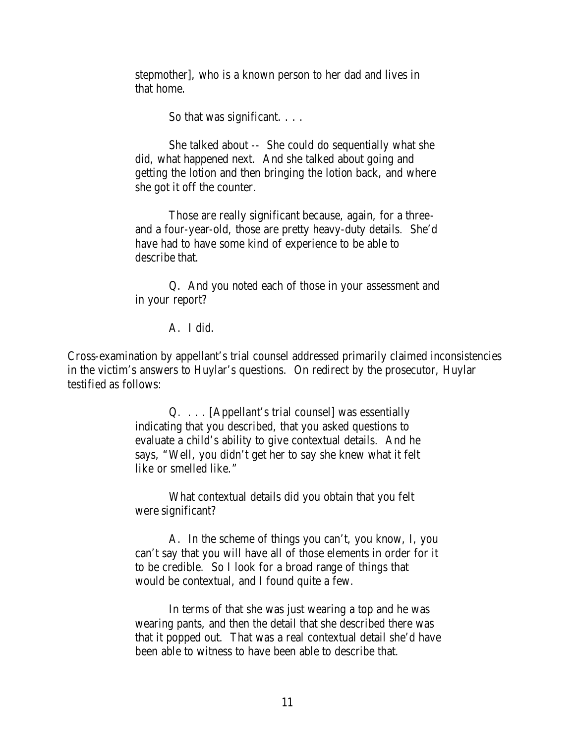stepmother], who is a known person to her dad and lives in that home.

So that was significant. . . .

She talked about -- She could do sequentially what she did, what happened next. And she talked about going and getting the lotion and then bringing the lotion back, and where she got it off the counter.

Those are really significant because, again, for a threeand a four-year-old, those are pretty heavy-duty details. She'd have had to have some kind of experience to be able to describe that.

Q. And you noted each of those in your assessment and in your report?

A. I did.

Cross-examination by appellant's trial counsel addressed primarily claimed inconsistencies in the victim's answers to Huylar's questions. On redirect by the prosecutor, Huylar testified as follows:

> Q. . . . [Appellant's trial counsel] was essentially indicating that you described, that you asked questions to evaluate a child's ability to give contextual details. And he says, "Well, you didn't get her to say she knew what it felt like or smelled like."

What contextual details did you obtain that you felt were significant?

A. In the scheme of things you can't, you know, I, you can't say that you will have all of those elements in order for it to be credible. So I look for a broad range of things that would be contextual, and I found quite a few.

In terms of that she was just wearing a top and he was wearing pants, and then the detail that she described there was that it popped out. That was a real contextual detail she'd have been able to witness to have been able to describe that.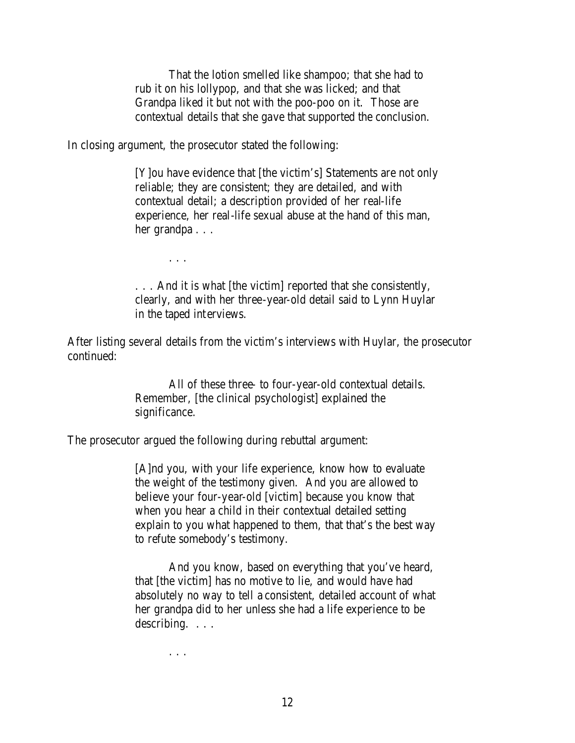That the lotion smelled like shampoo; that she had to rub it on his lollypop, and that she was licked; and that Grandpa liked it but not with the poo-poo on it. Those are contextual details that she gave that supported the conclusion.

In closing argument, the prosecutor stated the following:

[Y]ou have evidence that [the victim's] Statements are not only reliable; they are consistent; they are detailed, and with contextual detail; a description provided of her real-life experience, her real-life sexual abuse at the hand of this man, her grandpa . . .

. . .

. . . And it is what [the victim] reported that she consistently, clearly, and with her three-year-old detail said to Lynn Huylar in the taped interviews.

After listing several details from the victim's interviews with Huylar, the prosecutor continued:

> All of these three- to four-year-old contextual details. Remember, [the clinical psychologist] explained the significance.

The prosecutor argued the following during rebuttal argument:

[A]nd you, with your life experience, know how to evaluate the weight of the testimony given. And you are allowed to believe your four-year-old [victim] because you know that when you hear a child in their contextual detailed setting explain to you what happened to them, that that's the best way to refute somebody's testimony.

And you know, based on everything that you've heard, that [the victim] has no motive to lie, and would have had absolutely no way to tell a consistent, detailed account of what her grandpa did to her unless she had a life experience to be describing. . . .

. . .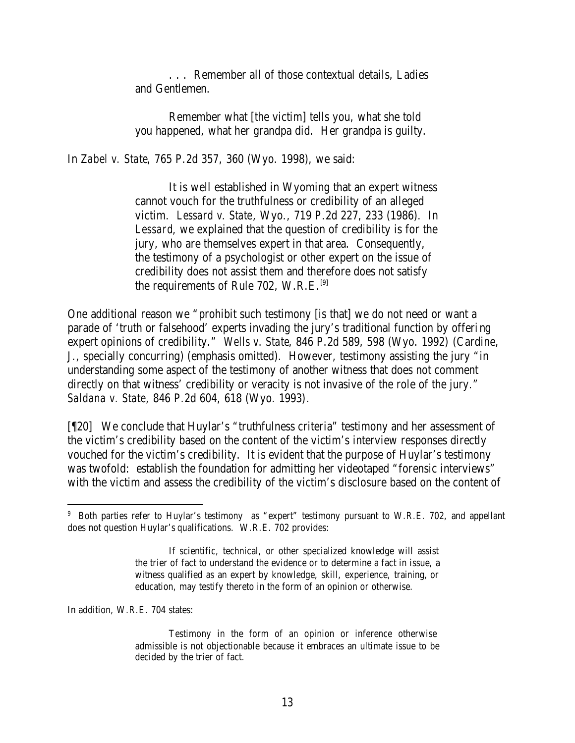. . . Remember all of those contextual details, Ladies and Gentlemen.

Remember what [the victim] tells you, what she told you happened, what her grandpa did. Her grandpa is guilty.

In *Zabel v. State*, 765 P.2d 357, 360 (Wyo. 1998), we said:

It is well established in Wyoming that an expert witness cannot vouch for the truthfulness or credibility of an alleged victim. *Lessard v. State*, Wyo., 719 P.2d 227, 233 (1986). In *Lessard*, we explained that the question of credibility is for the jury, who are themselves expert in that area. Consequently, the testimony of a psychologist or other expert on the issue of credibility does not assist them and therefore does not satisfy the requirements of Rule 702, W.R.E.<sup>[9]</sup>

One additional reason we "prohibit such testimony [is that] we do not need or want a parade of 'truth or falsehood' experts invading the jury's traditional function by offering expert opinions of credibility." *Wells v. State*, 846 P.2d 589, 598 (Wyo. 1992) (Cardine, J., specially concurring) (emphasis omitted). However, testimony assisting the jury "in understanding some aspect of the testimony of another witness that does not comment directly on that witness' credibility or veracity is not invasive of the role of the jury." *Saldana v. State*, 846 P.2d 604, 618 (Wyo. 1993).

[¶20] We conclude that Huylar's "truthfulness criteria" testimony and her assessment of the victim's credibility based on the content of the victim's interview responses directly vouched for the victim's credibility. It is evident that the purpose of Huylar's testimony was twofold: establish the foundation for admitting her videotaped "forensic interviews" with the victim and assess the credibility of the victim's disclosure based on the content of

In addition, W.R.E. 704 states:

<sup>&</sup>lt;sup>9</sup> Both parties refer to Huylar's testimony as "expert" testimony pursuant to W.R.E. 702, and appellant does not question Huylar's qualifications. W.R.E. 702 provides:

If scientific, technical, or other specialized knowledge will assist the trier of fact to understand the evidence or to determine a fact in issue, a witness qualified as an expert by knowledge, skill, experience, training, or education, may testify thereto in the form of an opinion or otherwise.

Testimony in the form of an opinion or inference otherwise admissible is not objectionable because it embraces an ultimate issue to be decided by the trier of fact.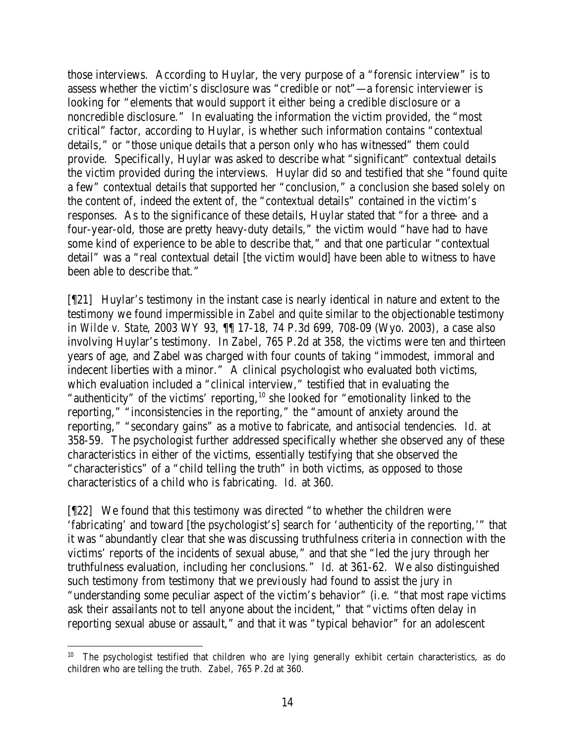those interviews. According to Huylar, the very purpose of a "forensic interview" is to assess whether the victim's disclosure was "credible or not"—a forensic interviewer is looking for "elements that would support it either being a credible disclosure or a noncredible disclosure." In evaluating the information the victim provided, the "most critical" factor, according to Huylar, is whether such information contains "contextual details," or "those unique details that a person only who has witnessed" them could provide. Specifically, Huylar was asked to describe what "significant" contextual details the victim provided during the interviews. Huylar did so and testified that she "found quite a few" contextual details that supported her "conclusion," a conclusion she based solely on the content of, indeed the extent of, the "contextual details" contained in the victim's responses. As to the significance of these details, Huylar stated that "for a three- and a four-year-old, those are pretty heavy-duty details," the victim would "have had to have some kind of experience to be able to describe that," and that one particular "contextual detail" was a "real contextual detail [the victim would] have been able to witness to have been able to describe that."

[¶21] Huylar's testimony in the instant case is nearly identical in nature and extent to the testimony we found impermissible in *Zabel* and quite similar to the objectionable testimony in *Wilde v. State*, 2003 WY 93, ¶¶ 17-18, 74 P.3d 699, 708-09 (Wyo. 2003), a case also involving Huylar's testimony. In *Zabel*, 765 P.2d at 358, the victims were ten and thirteen years of age, and Zabel was charged with four counts of taking "immodest, immoral and indecent liberties with a minor." A clinical psychologist who evaluated both victims, which evaluation included a "clinical interview," testified that in evaluating the "authenticity" of the victims' reporting,<sup>10</sup> she looked for "emotionality linked to the reporting," "inconsistencies in the reporting," the "amount of anxiety around the reporting," "secondary gains" as a motive to fabricate, and antisocial tendencies. *Id.* at 358-59. The psychologist further addressed specifically whether she observed any of these characteristics in either of the victims, essentially testifying that she observed the "characteristics" of a "child telling the truth" in both victims, as opposed to those characteristics of a child who is fabricating. *Id.* at 360.

[¶22] We found that this testimony was directed "to whether the children were 'fabricating' and toward [the psychologist's] search for 'authenticity of the reporting,'" that it was "abundantly clear that she was discussing truthfulness criteria in connection with the victims' reports of the incidents of sexual abuse," and that she "led the jury through her truthfulness evaluation, including her conclusions." *Id.* at 361-62. We also distinguished such testimony from testimony that we previously had found to assist the jury in "understanding some peculiar aspect of the victim's behavior" (i.e. "that most rape victims ask their assailants not to tell anyone about the incident," that "victims often delay in reporting sexual abuse or assault," and that it was "typical behavior" for an adolescent

<sup>&</sup>lt;sup>10</sup> The psychologist testified that children who are lying generally exhibit certain characteristics, as do children who are telling the truth. *Zabel*, 765 P.2d at 360.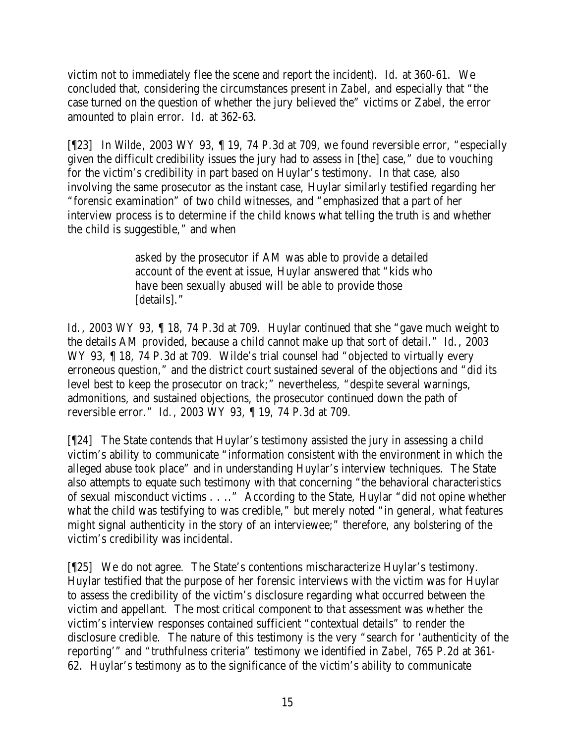victim not to immediately flee the scene and report the incident). *Id.* at 360-61. We concluded that, considering the circumstances present in *Zabel*, and especially that "the case turned on the question of whether the jury believed the" victims or Zabel, the error amounted to plain error. *Id.* at 362-63.

[¶23] In *Wilde*, 2003 WY 93, ¶ 19, 74 P.3d at 709, we found reversible error, "especially given the difficult credibility issues the jury had to assess in [the] case," due to vouching for the victim's credibility in part based on Huylar's testimony. In that case, also involving the same prosecutor as the instant case, Huylar similarly testified regarding her "forensic examination" of two child witnesses, and "emphasized that a part of her interview process is to determine if the child knows what telling the truth is and whether the child is suggestible," and when

> asked by the prosecutor if AM was able to provide a detailed account of the event at issue, Huylar answered that "kids who have been sexually abused will be able to provide those [details]."

*Id.*, 2003 WY 93, 18, 74 P.3d at 709. Huylar continued that she "gave much weight to the details AM provided, because a child cannot make up that sort of detail." *Id.*, 2003 WY 93, ¶ 18, 74 P.3d at 709. Wilde's trial counsel had "objected to virtually every erroneous question," and the district court sustained several of the objections and "did its level best to keep the prosecutor on track;" nevertheless, "despite several warnings, admonitions, and sustained objections, the prosecutor continued down the path of reversible error." *Id.*, 2003 WY 93, ¶ 19, 74 P.3d at 709.

[¶24] The State contends that Huylar's testimony assisted the jury in assessing a child victim's ability to communicate "information consistent with the environment in which the alleged abuse took place" and in understanding Huylar's interview techniques. The State also attempts to equate such testimony with that concerning "the behavioral characteristics of sexual misconduct victims . . .." According to the State, Huylar "did not opine whether what the child was testifying to was credible," but merely noted "in general, what features might signal authenticity in the story of an interviewee;" therefore, any bolstering of the victim's credibility was incidental.

[¶25] We do not agree. The State's contentions mischaracterize Huylar's testimony. Huylar testified that the purpose of her forensic interviews with the victim was for Huylar to assess the credibility of the victim's disclosure regarding what occurred between the victim and appellant. The most critical component to tha t assessment was whether the victim's interview responses contained sufficient "contextual details" to render the disclosure credible. The nature of this testimony is the very "search for 'authenticity of the reporting'" and "truthfulness criteria" testimony we identified in *Zabel*, 765 P.2d at 361- 62. Huylar's testimony as to the significance of the victim's ability to communicate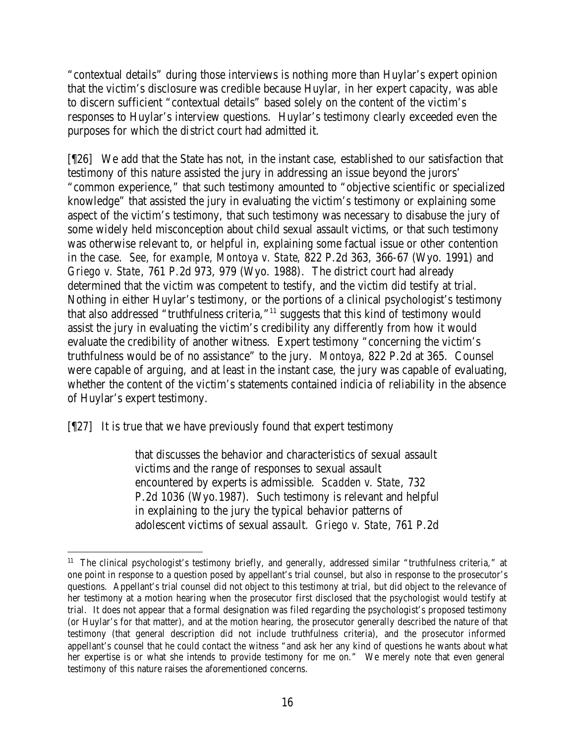"contextual details" during those interviews is nothing more than Huylar's expert opinion that the victim's disclosure was credible because Huylar, in her expert capacity, was able to discern sufficient "contextual details" based solely on the content of the victim's responses to Huylar's interview questions. Huylar's testimony clearly exceeded even the purposes for which the district court had admitted it.

[¶26] We add that the State has not, in the instant case, established to our satisfaction that testimony of this nature assisted the jury in addressing an issue beyond the jurors' "common experience," that such testimony amounted to "objective scientific or specialized knowledge" that assisted the jury in evaluating the victim's testimony or explaining some aspect of the victim's testimony, that such testimony was necessary to disabuse the jury of some widely held misconception about child sexual assault victims, or that such testimony was otherwise relevant to, or helpful in, explaining some factual issue or other contention in the case. *See, for example, Montoya v. State*, 822 P.2d 363, 366-67 (Wyo. 1991) and *Griego v. State*, 761 P.2d 973, 979 (Wyo. 1988). The district court had already determined that the victim was competent to testify, and the victim did testify at trial. Nothing in either Huylar's testimony, or the portions of a clinical psychologist's testimony that also addressed "truthfulness criteria,"<sup>11</sup> suggests that this kind of testimony would assist the jury in evaluating the victim's credibility any differently from how it would evaluate the credibility of another witness. Expert testimony "concerning the victim's truthfulness would be of no assistance" to the jury. *Montoya*, 822 P.2d at 365. Counsel were capable of arguing, and at least in the instant case, the jury was capable of evaluating, whether the content of the victim's statements contained indicia of reliability in the absence of Huylar's expert testimony.

[¶27] It is true that we have previously found that expert testimony

that discusses the behavior and characteristics of sexual assault victims and the range of responses to sexual assault encountered by experts is admissible. *Scadden v. State*, 732 P.2d 1036 (Wyo.1987). Such testimony is relevant and helpful in explaining to the jury the typical behavior patterns of adolescent victims of sexual assault. *Griego v. State*, 761 P.2d

<sup>11</sup> The clinical psychologist's testimony briefly, and generally, addressed similar "truthfulness criteria," at one point in response to a question posed by appellant's trial counsel, but also in response to the prosecutor's questions. Appellant's trial counsel did not object to this testimony at trial, but did object to the relevance of her testimony at a motion hearing when the prosecutor first disclosed that the psychologist would testify at trial. It does not appear that a formal designation was filed regarding the psychologist's proposed testimony (or Huylar's for that matter), and at the motion hearing, the prosecutor generally described the nature of that testimony (that general description did not include truthfulness criteria), and the prosecutor informed appellant's counsel that he could contact the witness "and ask her any kind of questions he wants about what her expertise is or what she intends to provide testimony for me on." We merely note that even general testimony of this nature raises the aforementioned concerns.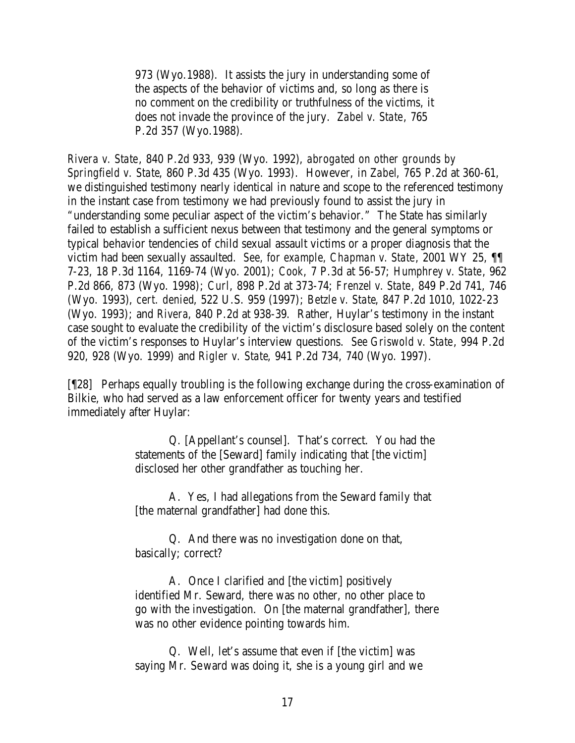973 (Wyo.1988). It assists the jury in understanding some of the aspects of the behavior of victims and, so long as there is no comment on the credibility or truthfulness of the victims, it does not invade the province of the jury. *Zabel v. State*, 765 P.2d 357 (Wyo.1988).

*Rivera v. State*, 840 P.2d 933, 939 (Wyo. 1992), *abrogated on other grounds by Springfield v. State*, 860 P.3d 435 (Wyo. 1993). However, in *Zabel*, 765 P.2d at 360-61, we distinguished testimony nearly identical in nature and scope to the referenced testimony in the instant case from testimony we had previously found to assist the jury in "understanding some peculiar aspect of the victim's behavior." The State has similarly failed to establish a sufficient nexus between that testimony and the general symptoms or typical behavior tendencies of child sexual assault victims or a proper diagnosis that the victim had been sexually assaulted. *See, for example, Chapman v. State*, 2001 WY 25, ¶¶ 7-23, 18 P.3d 1164, 1169-74 (Wyo. 2001); *Cook*, 7 P.3d at 56-57; *Humphrey v. State*, 962 P.2d 866, 873 (Wyo. 1998); *Curl*, 898 P.2d at 373-74; *Frenzel v. State*, 849 P.2d 741, 746 (Wyo. 1993), *cert. denied*, 522 U.S. 959 (1997); *Betzle v. State*, 847 P.2d 1010, 1022-23 (Wyo. 1993); and *Rivera*, 840 P.2d at 938-39. Rather, Huylar's testimony in the instant case sought to evaluate the credibility of the victim's disclosure based solely on the content of the victim's responses to Huylar's interview questions. *See Griswold v. State*, 994 P.2d 920, 928 (Wyo. 1999) and *Rigler v. State*, 941 P.2d 734, 740 (Wyo. 1997).

[¶28] Perhaps equally troubling is the following exchange during the cross-examination of Bilkie, who had served as a law enforcement officer for twenty years and testified immediately after Huylar:

> Q. [Appellant's counsel]. That's correct. You had the statements of the [Seward] family indicating that [the victim] disclosed her other grandfather as touching her.

A. Yes, I had allegations from the Seward family that [the maternal grandfather] had done this.

Q. And there was no investigation done on that, basically; correct?

A. Once I clarified and [the victim] positively identified Mr. Seward, there was no other, no other place to go with the investigation. On [the maternal grandfather], there was no other evidence pointing towards him.

Q. Well, let's assume that even if [the victim] was saying Mr. Seward was doing it, she is a young girl and we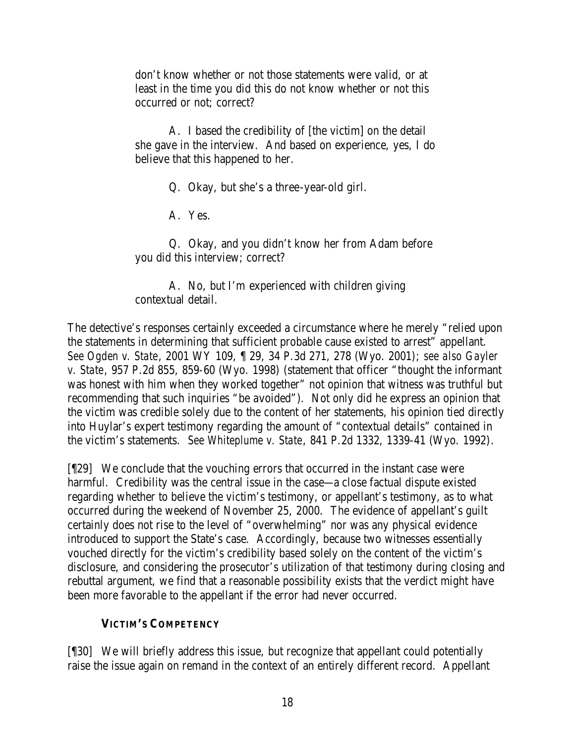don't know whether or not those statements were valid, or at least in the time you did this do not know whether or not this occurred or not; correct?

A. I based the credibility of [the victim] on the detail she gave in the interview. And based on experience, yes, I do believe that this happened to her.

Q. Okay, but she's a three-year-old girl.

A. Yes.

Q. Okay, and you didn't know her from Adam before you did this interview; correct?

A. No, but I'm experienced with children giving contextual detail.

The detective's responses certainly exceeded a circumstance where he merely "relied upon the statements in determining that sufficient probable cause existed to arrest" appellant. *See Ogden v. State*, 2001 WY 109, ¶ 29, 34 P.3d 271, 278 (Wyo. 2001); *see also Gayler v. State*, 957 P.2d 855, 859-60 (Wyo. 1998) (statement that officer "thought the informant was honest with him when they worked together" not opinion that witness was truthful but recommending that such inquiries "be avoided"). Not only did he express an opinion that the victim was credible solely due to the content of her statements, his opinion tied directly into Huylar's expert testimony regarding the amount of "contextual details" contained in the victim's statements. *See Whiteplume v. State*, 841 P.2d 1332, 1339-41 (Wyo. 1992).

[¶29] We conclude that the vouching errors that occurred in the instant case were harmful. Credibility was the central issue in the case—a close factual dispute existed regarding whether to believe the victim's testimony, or appellant's testimony, as to what occurred during the weekend of November 25, 2000. The evidence of appellant's guilt certainly does not rise to the level of "overwhelming" nor was any physical evidence introduced to support the State's case. Accordingly, because two witnesses essentially vouched directly for the victim's credibility based solely on the content of the victim's disclosure, and considering the prosecutor's utilization of that testimony during closing and rebuttal argument, we find that a reasonable possibility exists that the verdict might have been more favorable to the appellant if the error had never occurred.

## **VICTIM'S COMPETENCY**

[¶30] We will briefly address this issue, but recognize that appellant could potentially raise the issue again on remand in the context of an entirely different record. Appellant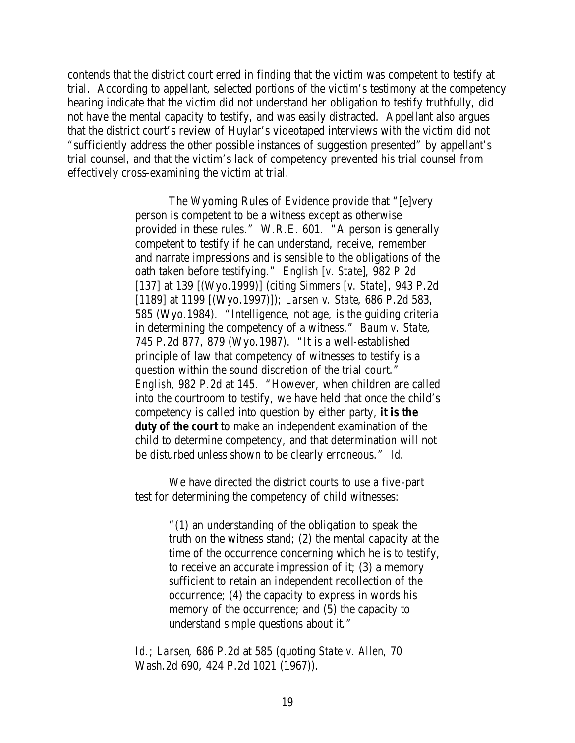contends that the district court erred in finding that the victim was competent to testify at trial. According to appellant, selected portions of the victim's testimony at the competency hearing indicate that the victim did not understand her obligation to testify truthfully, did not have the mental capacity to testify, and was easily distracted. Appellant also argues that the district court's review of Huylar's videotaped interviews with the victim did not "sufficiently address the other possible instances of suggestion presented" by appellant's trial counsel, and that the victim's lack of competency prevented his trial counsel from effectively cross-examining the victim at trial.

> The Wyoming Rules of Evidence provide that "[e]very person is competent to be a witness except as otherwise provided in these rules." W.R.E. 601. "A person is generally competent to testify if he can understand, receive, remember and narrate impressions and is sensible to the obligations of the oath taken before testifying." *English [v. State]*, 982 P.2d [137] at 139 [(Wyo.1999)] (citing *Simmers [v. State]*, 943 P.2d [1189] at 1199 [(Wyo.1997)]); *Larsen v. State*, 686 P.2d 583, 585 (Wyo.1984). "Intelligence, not age, is the guiding criteria in determining the competency of a witness." *Baum v. State*, 745 P.2d 877, 879 (Wyo.1987). "It is a well-established principle of law that competency of witnesses to testify is a question within the sound discretion of the trial court." *English*, 982 P.2d at 145. "However, when children are called into the courtroom to testify, we have held that once the child's competency is called into question by either party, *it is the duty of the court* to make an independent examination of the child to determine competency, and that determination will not be disturbed unless shown to be clearly erroneous." *Id.*

We have directed the district courts to use a five-part test for determining the competency of child witnesses:

> "(1) an understanding of the obligation to speak the truth on the witness stand; (2) the mental capacity at the time of the occurrence concerning which he is to testify, to receive an accurate impression of it; (3) a memory sufficient to retain an independent recollection of the occurrence; (4) the capacity to express in words his memory of the occurrence; and (5) the capacity to understand simple questions about it."

*Id*.; *Larsen*, 686 P.2d at 585 (quoting *State v. Allen*, 70 Wash.2d 690, 424 P.2d 1021 (1967)).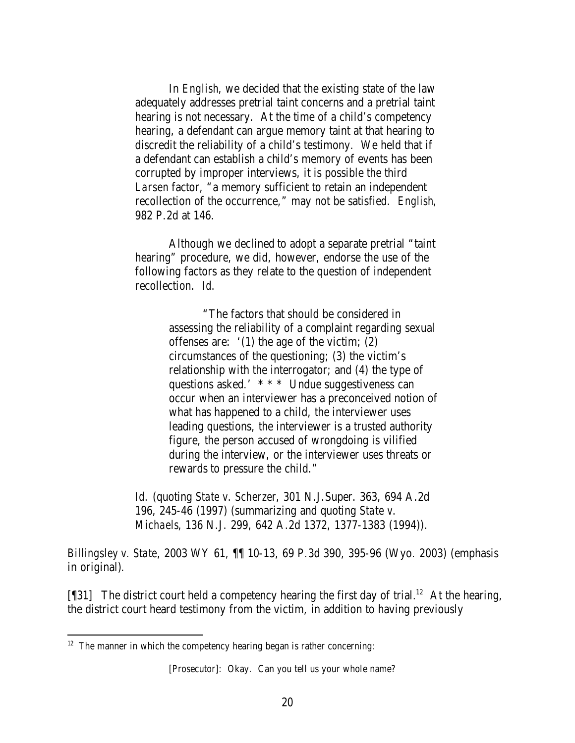In *English*, we decided that the existing state of the law adequately addresses pretrial taint concerns and a pretrial taint hearing is not necessary. At the time of a child's competency hearing, a defendant can argue memory taint at that hearing to discredit the reliability of a child's testimony. We held that if a defendant can establish a child's memory of events has been corrupted by improper interviews, it is possible the third *Larsen* factor, "a memory sufficient to retain an independent recollection of the occurrence," may not be satisfied. *English*, 982 P.2d at 146.

Although we declined to adopt a separate pretrial "taint hearing" procedure, we did, however, endorse the use of the following factors as they relate to the question of independent recollection. *Id.*

> "The factors that should be considered in assessing the reliability of a complaint regarding sexual offenses are: '(1) the age of the victim; (2) circumstances of the questioning; (3) the victim's relationship with the interrogator; and (4) the type of questions asked.' \* \* \* Undue suggestiveness can occur when an interviewer has a preconceived notion of what has happened to a child, the interviewer uses leading questions, the interviewer is a trusted authority figure, the person accused of wrongdoing is vilified during the interview, or the interviewer uses threats or rewards to pressure the child."

*Id.* (quoting *State v. Scherzer*, 301 N.J.Super. 363, 694 A.2d 196, 245-46 (1997) (summarizing and quoting *State v. Michaels*, 136 N.J. 299, 642 A.2d 1372, 1377-1383 (1994)).

*Billingsley v. State*, 2003 WY 61, ¶¶ 10-13, 69 P.3d 390, 395-96 (Wyo. 2003) (emphasis in original).

[¶31] The district court held a competency hearing the first day of trial.<sup>12</sup> At the hearing, the district court heard testimony from the victim, in addition to having previously

 $12$  The manner in which the competency hearing began is rather concerning:

<sup>[</sup>Prosecutor]: Okay. Can you tell us your whole name?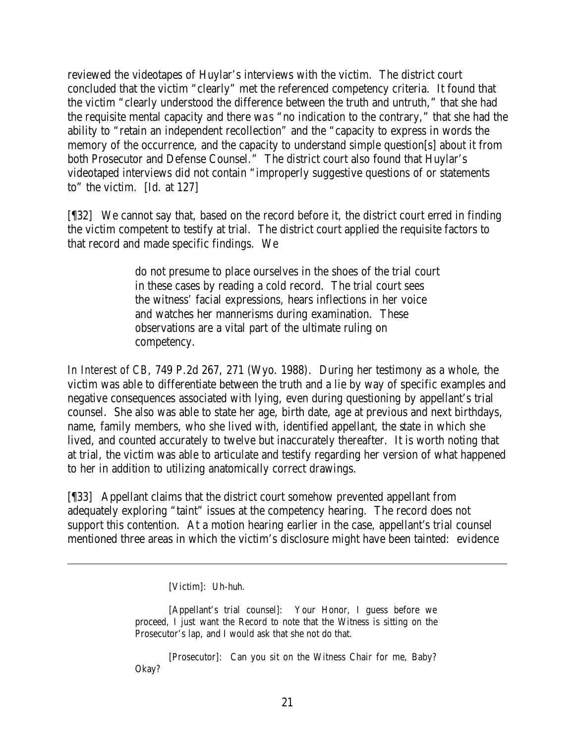reviewed the videotapes of Huylar's interviews with the victim. The district court concluded that the victim "clearly" met the referenced competency criteria. It found that the victim "clearly understood the difference between the truth and untruth," that she had the requisite mental capacity and there was "no indication to the contrary," that she had the ability to "retain an independent recollection" and the "capacity to express in words the memory of the occurrence, and the capacity to understand simple question[s] about it from both Prosecutor and Defense Counsel." The district court also found that Huylar's videotaped interviews did not contain "improperly suggestive questions of or statements to" the victim. [Id. at 127]

[¶32] We cannot say that, based on the record before it, the district court erred in finding the victim competent to testify at trial. The district court applied the requisite factors to that record and made specific findings. We

> do not presume to place ourselves in the shoes of the trial court in these cases by reading a cold record. The trial court sees the witness' facial expressions, hears inflections in her voice and watches her mannerisms during examination. These observations are a vital part of the ultimate ruling on competency.

*In Interest of CB*, 749 P.2d 267, 271 (Wyo. 1988). During her testimony as a whole, the victim was able to differentiate between the truth and a lie by way of specific examples and negative consequences associated with lying, even during questioning by appellant's trial counsel. She also was able to state her age, birth date, age at previous and next birthdays, name, family members, who she lived with, identified appellant, the state in which she lived, and counted accurately to twelve but inaccurately thereafter. It is worth noting that at trial, the victim was able to articulate and testify regarding her version of what happened to her in addition to utilizing anatomically correct drawings.

[¶33] Appellant claims that the district court somehow prevented appellant from adequately exploring "taint" issues at the competency hearing. The record does not support this contention. At a motion hearing earlier in the case, appellant's trial counsel mentioned three areas in which the victim's disclosure might have been tainted: evidence

[Victim]: Uh-huh.

[Appellant's trial counsel]: Your Honor, I guess before we proceed, I just want the Record to note that the Witness is sitting on the Prosecutor's lap, and I would ask that she not do that.

[Prosecutor]: Can you sit on the Witness Chair for me, Baby? Okay?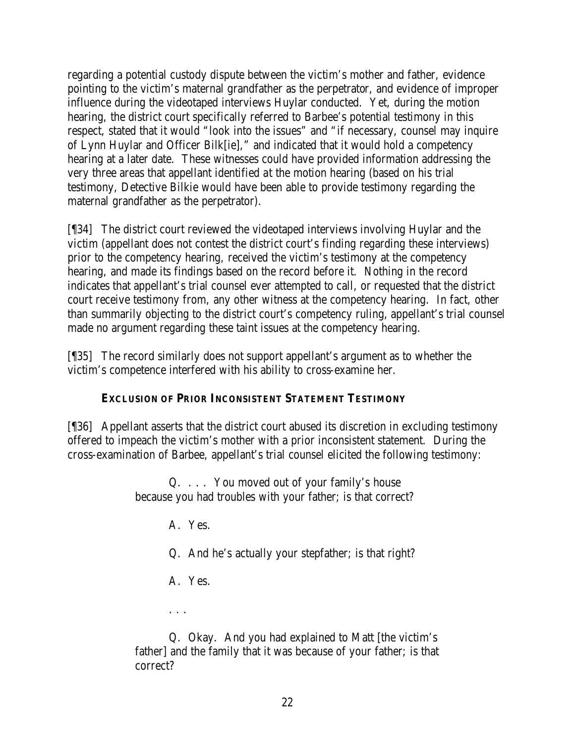regarding a potential custody dispute between the victim's mother and father, evidence pointing to the victim's maternal grandfather as the perpetrator, and evidence of improper influence during the videotaped interviews Huylar conducted. Yet, during the motion hearing, the district court specifically referred to Barbee's potential testimony in this respect, stated that it would "look into the issues" and "if necessary, counsel may inquire of Lynn Huylar and Officer Bilk[ie]," and indicated that it would hold a competency hearing at a later date. These witnesses could have provided information addressing the very three areas that appellant identified at the motion hearing (based on his trial testimony, Detective Bilkie would have been able to provide testimony regarding the maternal grandfather as the perpetrator).

[¶34] The district court reviewed the videotaped interviews involving Huylar and the victim (appellant does not contest the district court's finding regarding these interviews) prior to the competency hearing, received the victim's testimony at the competency hearing, and made its findings based on the record before it. Nothing in the record indicates that appellant's trial counsel ever attempted to call, or requested that the district court receive testimony from, any other witness at the competency hearing. In fact, other than summarily objecting to the district court's competency ruling, appellant's trial counsel made no argument regarding these taint issues at the competency hearing.

[¶35] The record similarly does not support appellant's argument as to whether the victim's competence interfered with his ability to cross-examine her.

## **EXCLUSION OF PRIOR INCONSISTENT STATEMENT TESTIMONY**

[¶36] Appellant asserts that the district court abused its discretion in excluding testimony offered to impeach the victim's mother with a prior inconsistent statement. During the cross-examination of Barbee, appellant's trial counsel elicited the following testimony:

> Q. . . . You moved out of your family's house because you had troubles with your father; is that correct?

> > A. Yes.

Q. And he's actually your stepfather; is that right?

A. Yes.

. . .

Q. Okay. And you had explained to Matt [the victim's father] and the family that it was because of your father; is that correct?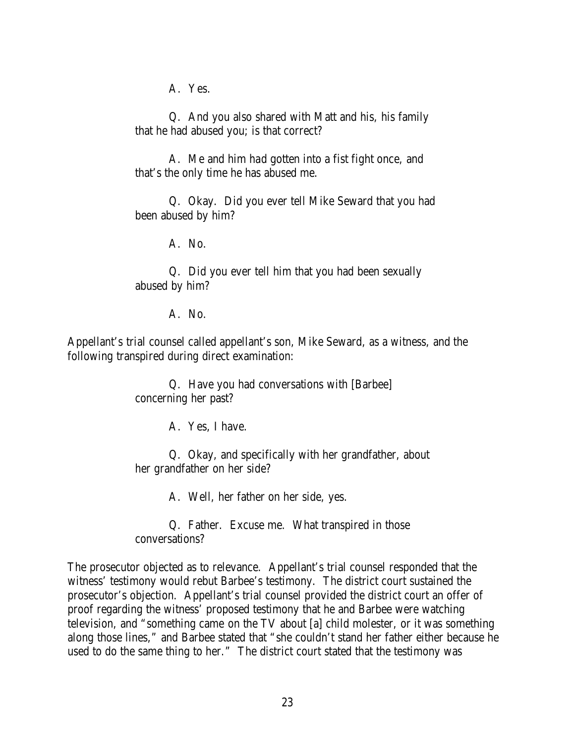A. Yes.

Q. And you also shared with Matt and his, his family that he had abused you; is that correct?

A. Me and him had gotten into a fist fight once, and that's the only time he has abused me.

Q. Okay. Did you ever tell Mike Seward that you had been abused by him?

A. No.

Q. Did you ever tell him that you had been sexually abused by him?

A. No.

Appellant's trial counsel called appellant's son, Mike Seward, as a witness, and the following transpired during direct examination:

> Q. Have you had conversations with [Barbee] concerning her past?

> > A. Yes, I have.

Q. Okay, and specifically with her grandfather, about her grandfather on her side?

A. Well, her father on her side, yes.

Q. Father. Excuse me. What transpired in those conversations?

The prosecutor objected as to relevance. Appellant's trial counsel responded that the witness' testimony would rebut Barbee's testimony. The district court sustained the prosecutor's objection. Appellant's trial counsel provided the district court an offer of proof regarding the witness' proposed testimony that he and Barbee were watching television, and "something came on the TV about [a] child molester, or it was something along those lines," and Barbee stated that "she couldn't stand her father either because he used to do the same thing to her." The district court stated that the testimony was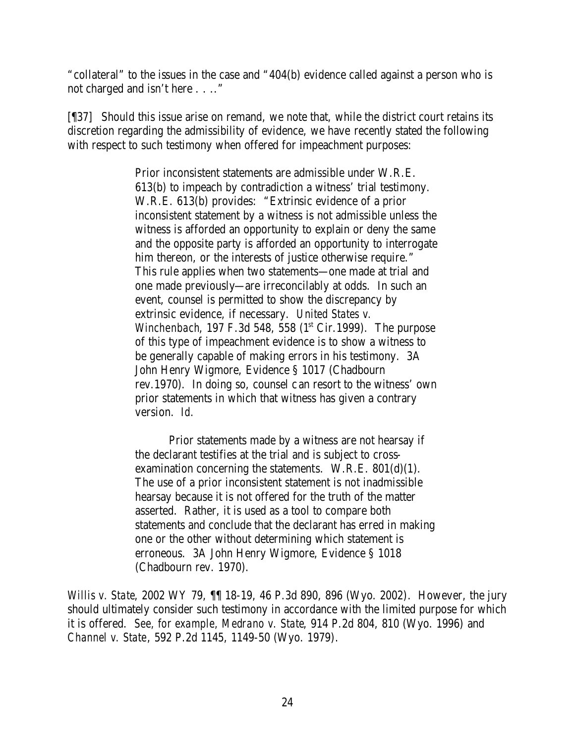"collateral" to the issues in the case and "404(b) evidence called against a person who is not charged and isn't here . . .."

[¶37] Should this issue arise on remand, we note that, while the district court retains its discretion regarding the admissibility of evidence, we have recently stated the following with respect to such testimony when offered for impeachment purposes:

> Prior inconsistent statements are admissible under W.R.E. 613(b) to impeach by contradiction a witness' trial testimony. W.R.E. 613(b) provides: "Extrinsic evidence of a prior inconsistent statement by a witness is not admissible unless the witness is afforded an opportunity to explain or deny the same and the opposite party is afforded an opportunity to interrogate him thereon, or the interests of justice otherwise require." This rule applies when two statements—one made at trial and one made previously—are irreconcilably at odds. In such an event, counsel is permitted to show the discrepancy by extrinsic evidence, if necessary. *United States v. Winchenbach*, 197 F.3d 548, 558 (1<sup>st</sup> Cir.1999). The purpose of this type of impeachment evidence is to show a witness to be generally capable of making errors in his testimony. 3A John Henry Wigmore, Evidence § 1017 (Chadbourn rev.1970). In doing so, counsel can resort to the witness' own prior statements in which that witness has given a contrary version. *Id.*

Prior statements made by a witness are not hearsay if the declarant testifies at the trial and is subject to crossexamination concerning the statements.  $W.R.E. 801(d)(1)$ . The use of a prior inconsistent statement is not inadmissible hearsay because it is not offered for the truth of the matter asserted. Rather, it is used as a tool to compare both statements and conclude that the declarant has erred in making one or the other without determining which statement is erroneous. 3A John Henry Wigmore, Evidence § 1018 (Chadbourn rev. 1970).

*Willis v. State*, 2002 WY 79, ¶¶ 18-19, 46 P.3d 890, 896 (Wyo. 2002). However, the jury should ultimately consider such testimony in accordance with the limited purpose for which it is offered. *See, for example, Medrano v. State*, 914 P.2d 804, 810 (Wyo. 1996) and *Channel v. State*, 592 P.2d 1145, 1149-50 (Wyo. 1979).